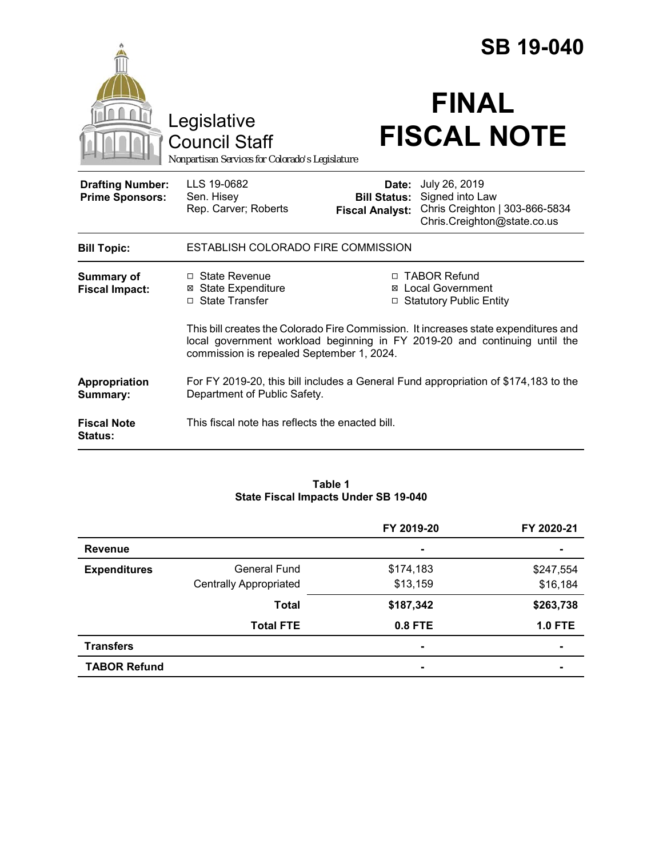|                                                   |                                                                                                                                                                                                                | <b>SB 19-040</b>                                       |                                                                                                   |  |
|---------------------------------------------------|----------------------------------------------------------------------------------------------------------------------------------------------------------------------------------------------------------------|--------------------------------------------------------|---------------------------------------------------------------------------------------------------|--|
|                                                   | Legislative<br><b>Council Staff</b><br>Nonpartisan Services for Colorado's Legislature                                                                                                                         |                                                        | <b>FINAL</b><br><b>FISCAL NOTE</b>                                                                |  |
| <b>Drafting Number:</b><br><b>Prime Sponsors:</b> | LLS 19-0682<br>Sen. Hisey<br>Rep. Carver; Roberts                                                                                                                                                              | Date:<br><b>Bill Status:</b><br><b>Fiscal Analyst:</b> | July 26, 2019<br>Signed into Law<br>Chris Creighton   303-866-5834<br>Chris.Creighton@state.co.us |  |
| <b>Bill Topic:</b>                                | ESTABLISH COLORADO FIRE COMMISSION                                                                                                                                                                             |                                                        |                                                                                                   |  |
| <b>Summary of</b><br><b>Fiscal Impact:</b>        | □ State Revenue<br><b>⊠</b> State Expenditure<br>□ State Transfer                                                                                                                                              | ⊠<br>□                                                 | □ TABOR Refund<br><b>Local Government</b><br><b>Statutory Public Entity</b>                       |  |
|                                                   | This bill creates the Colorado Fire Commission. It increases state expenditures and<br>local government workload beginning in FY 2019-20 and continuing until the<br>commission is repealed September 1, 2024. |                                                        |                                                                                                   |  |
| Appropriation<br>Summary:                         | For FY 2019-20, this bill includes a General Fund appropriation of \$174,183 to the<br>Department of Public Safety.                                                                                            |                                                        |                                                                                                   |  |
| <b>Fiscal Note</b><br>Status:                     | This fiscal note has reflects the enacted bill.                                                                                                                                                                |                                                        |                                                                                                   |  |

### **Table 1 State Fiscal Impacts Under SB 19-040**

|                     |                               | FY 2019-20 | FY 2020-21     |
|---------------------|-------------------------------|------------|----------------|
| <b>Revenue</b>      |                               | ۰          |                |
| <b>Expenditures</b> | General Fund                  | \$174,183  | \$247,554      |
|                     | <b>Centrally Appropriated</b> | \$13,159   | \$16,184       |
|                     | <b>Total</b>                  | \$187,342  | \$263,738      |
|                     | <b>Total FTE</b>              | 0.8 FTE    | <b>1.0 FTE</b> |
| <b>Transfers</b>    |                               | ۰          | $\blacksquare$ |
| <b>TABOR Refund</b> |                               | ۰          |                |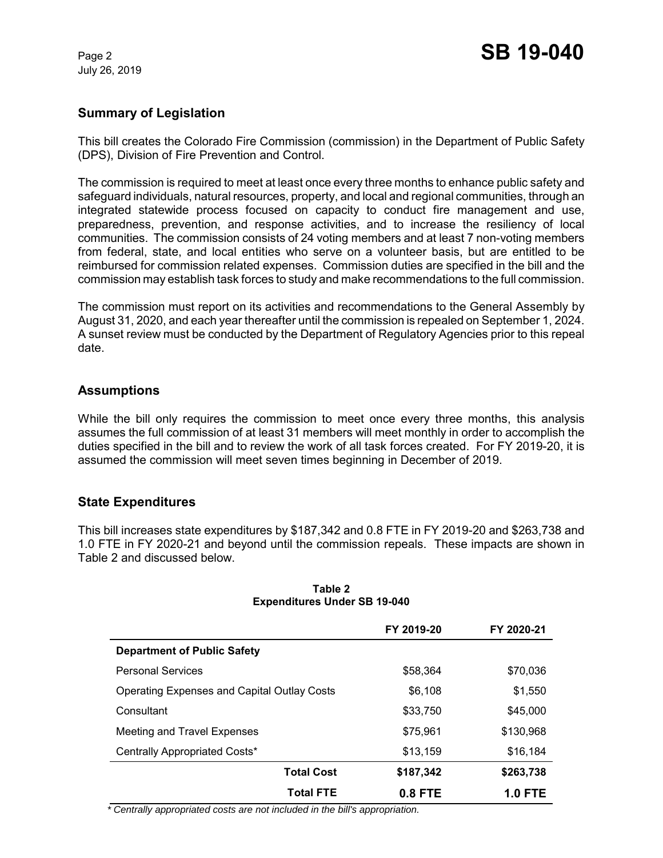July 26, 2019

# **Summary of Legislation**

This bill creates the Colorado Fire Commission (commission) in the Department of Public Safety (DPS), Division of Fire Prevention and Control.

The commission is required to meet at least once every three months to enhance public safety and safeguard individuals, natural resources, property, and local and regional communities, through an integrated statewide process focused on capacity to conduct fire management and use, preparedness, prevention, and response activities, and to increase the resiliency of local communities. The commission consists of 24 voting members and at least 7 non-voting members from federal, state, and local entities who serve on a volunteer basis, but are entitled to be reimbursed for commission related expenses. Commission duties are specified in the bill and the commission may establish task forces to study and make recommendations to the full commission.

The commission must report on its activities and recommendations to the General Assembly by August 31, 2020, and each year thereafter until the commission is repealed on September 1, 2024. A sunset review must be conducted by the Department of Regulatory Agencies prior to this repeal date.

# **Assumptions**

While the bill only requires the commission to meet once every three months, this analysis assumes the full commission of at least 31 members will meet monthly in order to accomplish the duties specified in the bill and to review the work of all task forces created. For FY 2019-20, it is assumed the commission will meet seven times beginning in December of 2019.

# **State Expenditures**

This bill increases state expenditures by \$187,342 and 0.8 FTE in FY 2019-20 and \$263,738 and 1.0 FTE in FY 2020-21 and beyond until the commission repeals. These impacts are shown in Table 2 and discussed below.

|                                             | FY 2019-20 | FY 2020-21     |
|---------------------------------------------|------------|----------------|
| <b>Department of Public Safety</b>          |            |                |
| <b>Personal Services</b>                    | \$58,364   | \$70,036       |
| Operating Expenses and Capital Outlay Costs | \$6,108    | \$1,550        |
| Consultant                                  | \$33,750   | \$45,000       |
| Meeting and Travel Expenses                 | \$75,961   | \$130,968      |
| Centrally Appropriated Costs*               | \$13,159   | \$16,184       |
| <b>Total Cost</b>                           | \$187,342  | \$263,738      |
| <b>Total FTE</b>                            | $0.8$ FTE  | <b>1.0 FTE</b> |

#### **Table 2 Expenditures Under SB 19-040**

 *\* Centrally appropriated costs are not included in the bill's appropriation.*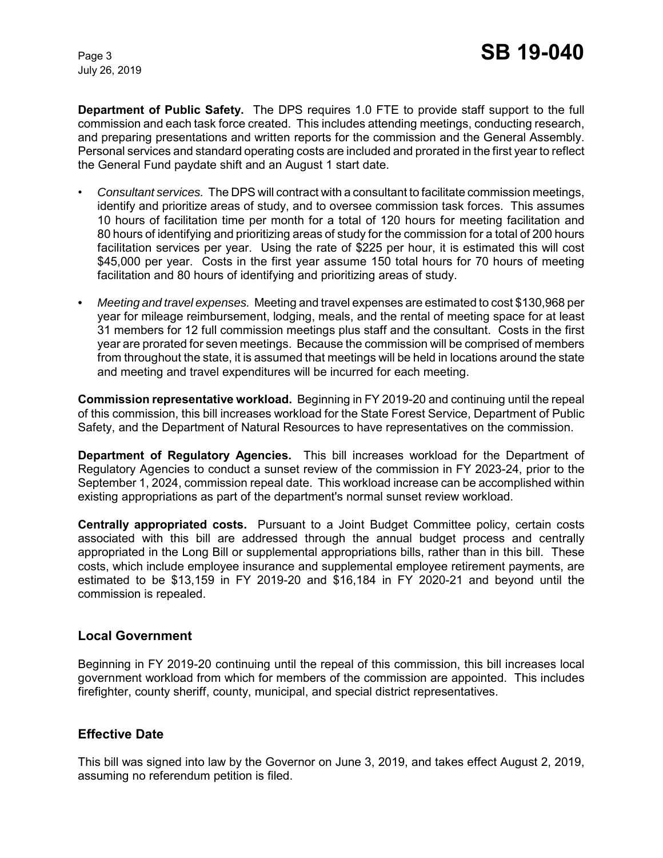July 26, 2019

**Department of Public Safety.** The DPS requires 1.0 FTE to provide staff support to the full commission and each task force created. This includes attending meetings, conducting research, and preparing presentations and written reports for the commission and the General Assembly. Personal services and standard operating costs are included and prorated in the first year to reflect the General Fund paydate shift and an August 1 start date.

- *Consultant services.* The DPS will contract with a consultant to facilitate commission meetings, identify and prioritize areas of study, and to oversee commission task forces. This assumes 10 hours of facilitation time per month for a total of 120 hours for meeting facilitation and 80 hours of identifying and prioritizing areas of study for the commission for a total of 200 hours facilitation services per year. Using the rate of \$225 per hour, it is estimated this will cost \$45,000 per year. Costs in the first year assume 150 total hours for 70 hours of meeting facilitation and 80 hours of identifying and prioritizing areas of study.
- *Meeting and travel expenses.* Meeting and travel expenses are estimated to cost \$130,968 per year for mileage reimbursement, lodging, meals, and the rental of meeting space for at least 31 members for 12 full commission meetings plus staff and the consultant. Costs in the first year are prorated for seven meetings. Because the commission will be comprised of members from throughout the state, it is assumed that meetings will be held in locations around the state and meeting and travel expenditures will be incurred for each meeting.

**Commission representative workload.** Beginning in FY 2019-20 and continuing until the repeal of this commission, this bill increases workload for the State Forest Service, Department of Public Safety, and the Department of Natural Resources to have representatives on the commission.

**Department of Regulatory Agencies.** This bill increases workload for the Department of Regulatory Agencies to conduct a sunset review of the commission in FY 2023-24, prior to the September 1, 2024, commission repeal date. This workload increase can be accomplished within existing appropriations as part of the department's normal sunset review workload.

**Centrally appropriated costs.** Pursuant to a Joint Budget Committee policy, certain costs associated with this bill are addressed through the annual budget process and centrally appropriated in the Long Bill or supplemental appropriations bills, rather than in this bill. These costs, which include employee insurance and supplemental employee retirement payments, are estimated to be \$13,159 in FY 2019-20 and \$16,184 in FY 2020-21 and beyond until the commission is repealed.

### **Local Government**

Beginning in FY 2019-20 continuing until the repeal of this commission, this bill increases local government workload from which for members of the commission are appointed. This includes firefighter, county sheriff, county, municipal, and special district representatives.

### **Effective Date**

This bill was signed into law by the Governor on June 3, 2019, and takes effect August 2, 2019, assuming no referendum petition is filed.